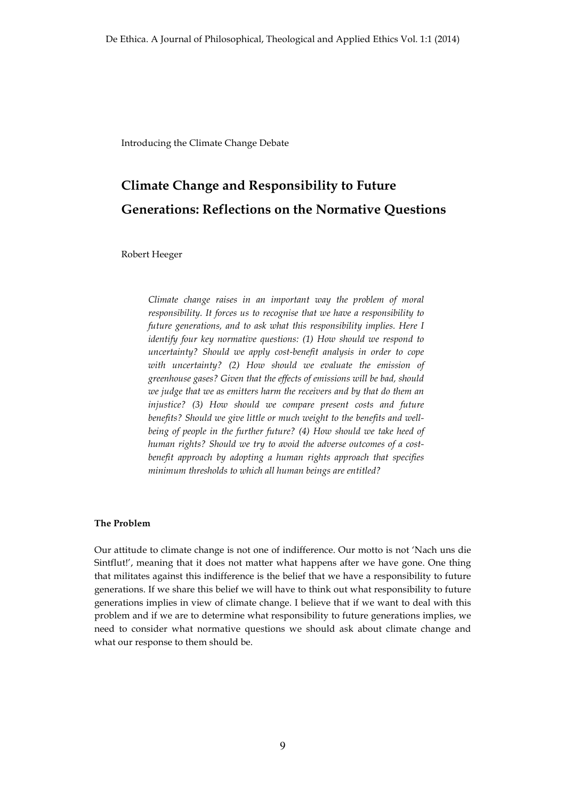Introducing the Climate Change Debate

# **Climate Change and Responsibility to Future Generations: Reflections on the Normative Questions**

Robert Heeger

*Climate change raises in an important way the problem of moral responsibility. It forces us to recognise that we have a responsibility to future generations, and to ask what this responsibility implies. Here I identify four key normative questions: (1) How should we respond to uncertainty? Should we apply cost-benefit analysis in order to cope with uncertainty? (2) How should we evaluate the emission of greenhouse gases? Given that the effects of emissions will be bad, should we judge that we as emitters harm the receivers and by that do them an injustice? (3) How should we compare present costs and future benefits? Should we give little or much weight to the benefits and wellbeing of people in the further future? (4) How should we take heed of human rights? Should we try to avoid the adverse outcomes of a costbenefit approach by adopting a human rights approach that specifies minimum thresholds to which all human beings are entitled?*

## **The Problem**

Our attitude to climate change is not one of indifference. Our motto is not 'Nach uns die Sintflut!', meaning that it does not matter what happens after we have gone. One thing that militates against this indifference is the belief that we have a responsibility to future generations. If we share this belief we will have to think out what responsibility to future generations implies in view of climate change. I believe that if we want to deal with this problem and if we are to determine what responsibility to future generations implies, we need to consider what normative questions we should ask about climate change and what our response to them should be.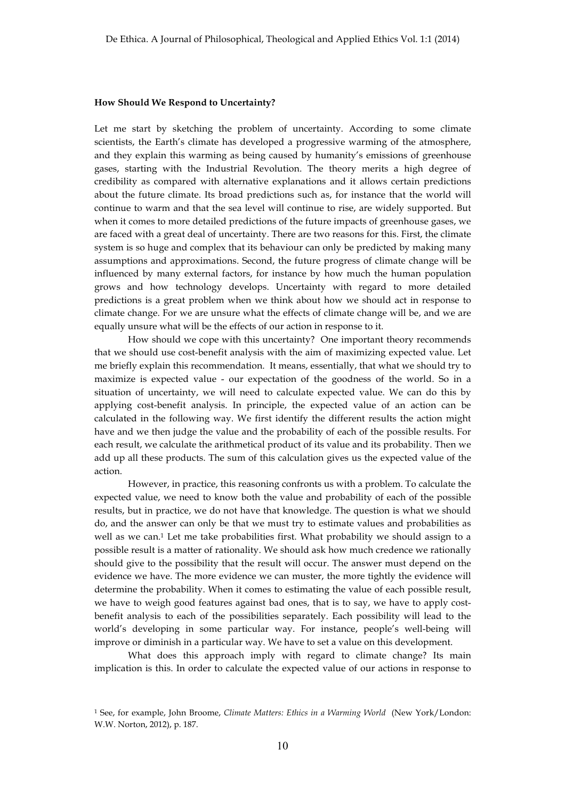## **How Should We Respond to Uncertainty?**

Let me start by sketching the problem of uncertainty. According to some climate scientists, the Earth's climate has developed a progressive warming of the atmosphere, and they explain this warming as being caused by humanity's emissions of greenhouse gases, starting with the Industrial Revolution. The theory merits a high degree of credibility as compared with alternative explanations and it allows certain predictions about the future climate. Its broad predictions such as, for instance that the world will continue to warm and that the sea level will continue to rise, are widely supported. But when it comes to more detailed predictions of the future impacts of greenhouse gases, we are faced with a great deal of uncertainty. There are two reasons for this. First, the climate system is so huge and complex that its behaviour can only be predicted by making many assumptions and approximations. Second, the future progress of climate change will be influenced by many external factors, for instance by how much the human population grows and how technology develops. Uncertainty with regard to more detailed predictions is a great problem when we think about how we should act in response to climate change. For we are unsure what the effects of climate change will be, and we are equally unsure what will be the effects of our action in response to it.

How should we cope with this uncertainty? One important theory recommends that we should use cost-benefit analysis with the aim of maximizing expected value. Let me briefly explain this recommendation. It means, essentially, that what we should try to maximize is expected value - our expectation of the goodness of the world. So in a situation of uncertainty, we will need to calculate expected value. We can do this by applying cost-benefit analysis. In principle, the expected value of an action can be calculated in the following way. We first identify the different results the action might have and we then judge the value and the probability of each of the possible results. For each result, we calculate the arithmetical product of its value and its probability. Then we add up all these products. The sum of this calculation gives us the expected value of the action.

However, in practice, this reasoning confronts us with a problem. To calculate the expected value, we need to know both the value and probability of each of the possible results, but in practice, we do not have that knowledge. The question is what we should do, and the answer can only be that we must try to estimate values and probabilities as well as we can.<sup>1</sup> Let me take probabilities first. What probability we should assign to a possible result is a matter of rationality. We should ask how much credence we rationally should give to the possibility that the result will occur. The answer must depend on the evidence we have. The more evidence we can muster, the more tightly the evidence will determine the probability. When it comes to estimating the value of each possible result, we have to weigh good features against bad ones, that is to say, we have to apply costbenefit analysis to each of the possibilities separately. Each possibility will lead to the world's developing in some particular way. For instance, people's well-being will improve or diminish in a particular way. We have to set a value on this development.

What does this approach imply with regard to climate change? Its main implication is this. In order to calculate the expected value of our actions in response to

<sup>1</sup> See, for example, John Broome, *Climate Matters: Ethics in a Warming World* (New York/London: W.W. Norton, 2012), p. 187.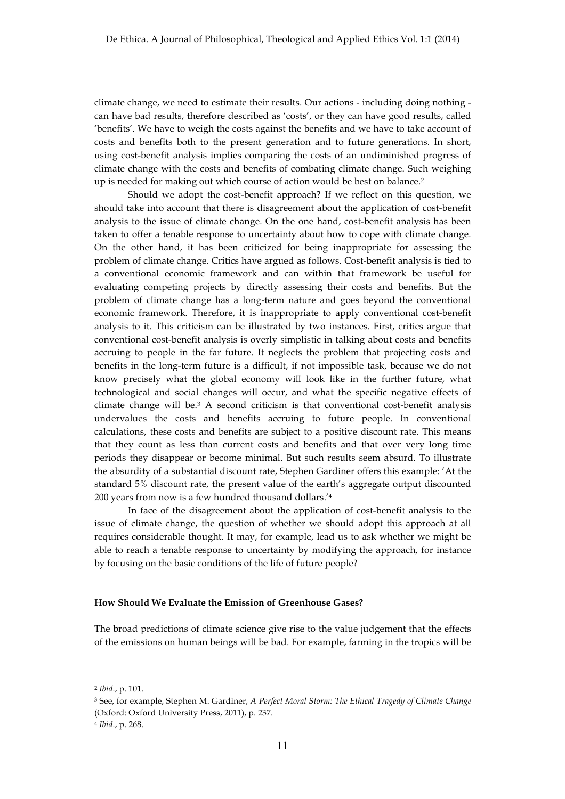climate change, we need to estimate their results. Our actions - including doing nothing can have bad results, therefore described as 'costs', or they can have good results, called 'benefits'. We have to weigh the costs against the benefits and we have to take account of costs and benefits both to the present generation and to future generations. In short, using cost-benefit analysis implies comparing the costs of an undiminished progress of climate change with the costs and benefits of combating climate change. Such weighing up is needed for making out which course of action would be best on balance.2

Should we adopt the cost-benefit approach? If we reflect on this question, we should take into account that there is disagreement about the application of cost-benefit analysis to the issue of climate change. On the one hand, cost-benefit analysis has been taken to offer a tenable response to uncertainty about how to cope with climate change. On the other hand, it has been criticized for being inappropriate for assessing the problem of climate change. Critics have argued as follows. Cost-benefit analysis is tied to a conventional economic framework and can within that framework be useful for evaluating competing projects by directly assessing their costs and benefits. But the problem of climate change has a long-term nature and goes beyond the conventional economic framework. Therefore, it is inappropriate to apply conventional cost-benefit analysis to it. This criticism can be illustrated by two instances. First, critics argue that conventional cost-benefit analysis is overly simplistic in talking about costs and benefits accruing to people in the far future. It neglects the problem that projecting costs and benefits in the long-term future is a difficult, if not impossible task, because we do not know precisely what the global economy will look like in the further future, what technological and social changes will occur, and what the specific negative effects of climate change will be.<sup>3</sup> A second criticism is that conventional cost-benefit analysis undervalues the costs and benefits accruing to future people. In conventional calculations, these costs and benefits are subject to a positive discount rate. This means that they count as less than current costs and benefits and that over very long time periods they disappear or become minimal. But such results seem absurd. To illustrate the absurdity of a substantial discount rate, Stephen Gardiner offers this example: 'At the standard 5% discount rate, the present value of the earth's aggregate output discounted 200 years from now is a few hundred thousand dollars.'4

In face of the disagreement about the application of cost-benefit analysis to the issue of climate change, the question of whether we should adopt this approach at all requires considerable thought. It may, for example, lead us to ask whether we might be able to reach a tenable response to uncertainty by modifying the approach, for instance by focusing on the basic conditions of the life of future people?

## **How Should We Evaluate the Emission of Greenhouse Gases?**

The broad predictions of climate science give rise to the value judgement that the effects of the emissions on human beings will be bad. For example, farming in the tropics will be

<sup>2</sup> *Ibid*., p. 101.

<sup>3</sup> See, for example, Stephen M. Gardiner, *A Perfect Moral Storm: The Ethical Tragedy of Climate Change* (Oxford: Oxford University Press, 2011), p. 237.

<sup>4</sup> *Ibid*., p. 268.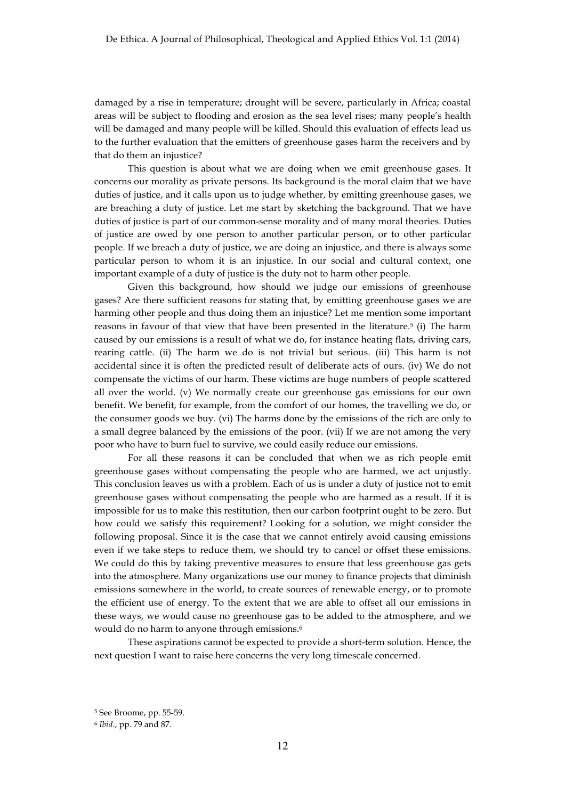damaged by a rise in temperature; drought will be severe, particularly in Africa; coastal areas will be subject to flooding and erosion as the sea level rises; many people's health will be damaged and many people will be killed. Should this evaluation of effects lead us to the further evaluation that the emitters of greenhouse gases harm the receivers and by that do them an injustice?

This question is about what we are doing when we emit greenhouse gases. It concerns our morality as private persons. Its background is the moral claim that we have duties of justice, and it calls upon us to judge whether, by emitting greenhouse gases, we are breaching a duty of justice. Let me start by sketching the background. That we have duties of justice is part of our common-sense morality and of many moral theories. Duties of justice are owed by one person to another particular person, or to other particular people. If we breach a duty of justice, we are doing an injustice, and there is always some particular person to whom it is an injustice. In our social and cultural context, one important example of a duty of justice is the duty not to harm other people.

Given this background, how should we judge our emissions of greenhouse gases? Are there sufficient reasons for stating that, by emitting greenhouse gases we are harming other people and thus doing them an injustice? Let me mention some important reasons in favour of that view that have been presented in the literature.<sup>5</sup> (i) The harm caused by our emissions is a result of what we do, for instance heating flats, driving cars, rearing cattle. (ii) The harm we do is not trivial but serious. (iii) This harm is not accidental since it is often the predicted result of deliberate acts of ours. (iv) We do not compensate the victims of our harm. These victims are huge numbers of people scattered all over the world. (v) We normally create our greenhouse gas emissions for our own benefit. We benefit, for example, from the comfort of our homes, the travelling we do, or the consumer goods we buy. (vi) The harms done by the emissions of the rich are only to a small degree balanced by the emissions of the poor. (vii) If we are not among the very poor who have to burn fuel to survive, we could easily reduce our emissions.

For all these reasons it can be concluded that when we as rich people emit greenhouse gases without compensating the people who are harmed, we act unjustly. This conclusion leaves us with a problem. Each of us is under a duty of justice not to emit greenhouse gases without compensating the people who are harmed as a result. If it is impossible for us to make this restitution, then our carbon footprint ought to be zero. But how could we satisfy this requirement? Looking for a solution, we might consider the following proposal. Since it is the case that we cannot entirely avoid causing emissions even if we take steps to reduce them, we should try to cancel or offset these emissions. We could do this by taking preventive measures to ensure that less greenhouse gas gets into the atmosphere. Many organizations use our money to finance projects that diminish emissions somewhere in the world, to create sources of renewable energy, or to promote the efficient use of energy. To the extent that we are able to offset all our emissions in these ways, we would cause no greenhouse gas to be added to the atmosphere, and we would do no harm to anyone through emissions.<sup>6</sup>

These aspirations cannot be expected to provide a short-term solution. Hence, the next question I want to raise here concerns the very long timescale concerned.

<sup>5</sup> See Broome, pp. 55-59.

<sup>6</sup> *Ibid*., pp. 79 and 87.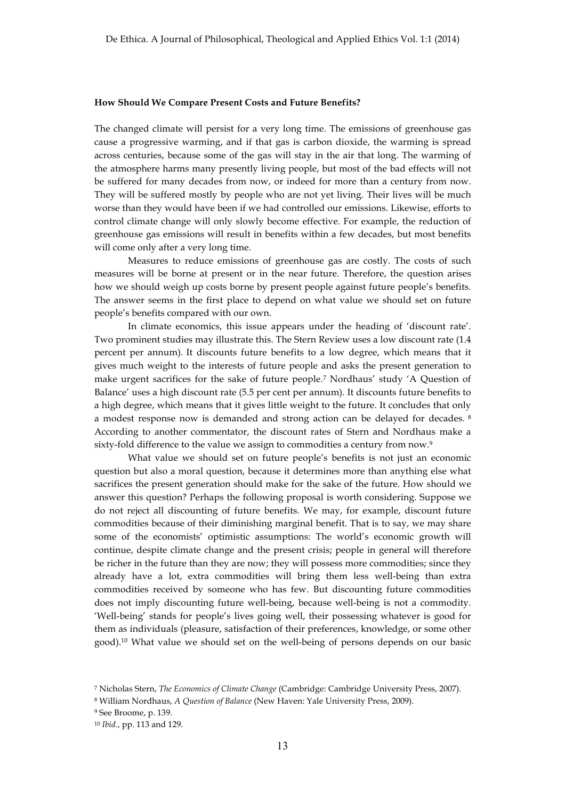#### **How Should We Compare Present Costs and Future Benefits?**

The changed climate will persist for a very long time. The emissions of greenhouse gas cause a progressive warming, and if that gas is carbon dioxide, the warming is spread across centuries, because some of the gas will stay in the air that long. The warming of the atmosphere harms many presently living people, but most of the bad effects will not be suffered for many decades from now, or indeed for more than a century from now. They will be suffered mostly by people who are not yet living. Their lives will be much worse than they would have been if we had controlled our emissions. Likewise, efforts to control climate change will only slowly become effective. For example, the reduction of greenhouse gas emissions will result in benefits within a few decades, but most benefits will come only after a very long time.

Measures to reduce emissions of greenhouse gas are costly. The costs of such measures will be borne at present or in the near future. Therefore, the question arises how we should weigh up costs borne by present people against future people's benefits. The answer seems in the first place to depend on what value we should set on future people's benefits compared with our own.

In climate economics, this issue appears under the heading of 'discount rate'. Two prominent studies may illustrate this. The Stern Review uses a low discount rate (1.4 percent per annum). It discounts future benefits to a low degree, which means that it gives much weight to the interests of future people and asks the present generation to make urgent sacrifices for the sake of future people.7 Nordhaus' study 'A Question of Balance' uses a high discount rate (5.5 per cent per annum). It discounts future benefits to a high degree, which means that it gives little weight to the future. It concludes that only a modest response now is demanded and strong action can be delayed for decades. <sup>8</sup> According to another commentator, the discount rates of Stern and Nordhaus make a sixty-fold difference to the value we assign to commodities a century from now.<sup>9</sup>

What value we should set on future people's benefits is not just an economic question but also a moral question, because it determines more than anything else what sacrifices the present generation should make for the sake of the future. How should we answer this question? Perhaps the following proposal is worth considering. Suppose we do not reject all discounting of future benefits. We may, for example, discount future commodities because of their diminishing marginal benefit. That is to say, we may share some of the economists' optimistic assumptions: The world's economic growth will continue, despite climate change and the present crisis; people in general will therefore be richer in the future than they are now; they will possess more commodities; since they already have a lot, extra commodities will bring them less well-being than extra commodities received by someone who has few. But discounting future commodities does not imply discounting future well-being, because well-being is not a commodity. 'Well-being' stands for people's lives going well, their possessing whatever is good for them as individuals (pleasure, satisfaction of their preferences, knowledge, or some other good).10 What value we should set on the well-being of persons depends on our basic

<sup>7</sup> Nicholas Stern, *The Economics of Climate Change* (Cambridge: Cambridge University Press, 2007).

<sup>8</sup> William Nordhaus, *A Question of Balance* (New Haven: Yale University Press, 2009).

<sup>9</sup> See Broome, p. 139.

<sup>10</sup> *Ibid.*, pp. 113 and 129.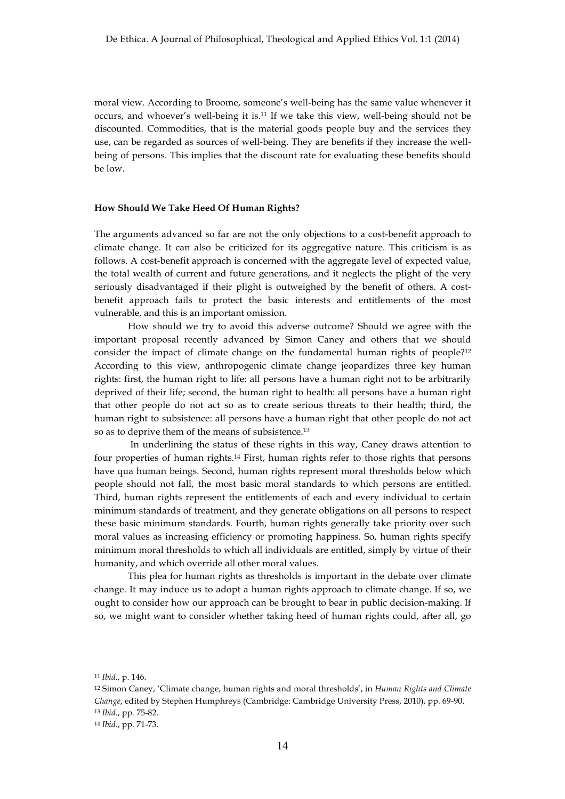moral view. According to Broome, someone's well-being has the same value whenever it occurs, and whoever's well-being it is.11 If we take this view, well-being should not be discounted. Commodities, that is the material goods people buy and the services they use, can be regarded as sources of well-being. They are benefits if they increase the wellbeing of persons. This implies that the discount rate for evaluating these benefits should be low.

## **How Should We Take Heed Of Human Rights?**

The arguments advanced so far are not the only objections to a cost-benefit approach to climate change. It can also be criticized for its aggregative nature. This criticism is as follows. A cost-benefit approach is concerned with the aggregate level of expected value, the total wealth of current and future generations, and it neglects the plight of the very seriously disadvantaged if their plight is outweighed by the benefit of others. A costbenefit approach fails to protect the basic interests and entitlements of the most vulnerable, and this is an important omission.

How should we try to avoid this adverse outcome? Should we agree with the important proposal recently advanced by Simon Caney and others that we should consider the impact of climate change on the fundamental human rights of people?12 According to this view, anthropogenic climate change jeopardizes three key human rights: first, the human right to life: all persons have a human right not to be arbitrarily deprived of their life; second, the human right to health: all persons have a human right that other people do not act so as to create serious threats to their health; third, the human right to subsistence: all persons have a human right that other people do not act so as to deprive them of the means of subsistence.13

In underlining the status of these rights in this way, Caney draws attention to four properties of human rights.14 First, human rights refer to those rights that persons have qua human beings. Second, human rights represent moral thresholds below which people should not fall, the most basic moral standards to which persons are entitled. Third, human rights represent the entitlements of each and every individual to certain minimum standards of treatment, and they generate obligations on all persons to respect these basic minimum standards. Fourth, human rights generally take priority over such moral values as increasing efficiency or promoting happiness. So, human rights specify minimum moral thresholds to which all individuals are entitled, simply by virtue of their humanity, and which override all other moral values.

This plea for human rights as thresholds is important in the debate over climate change. It may induce us to adopt a human rights approach to climate change. If so, we ought to consider how our approach can be brought to bear in public decision-making. If so, we might want to consider whether taking heed of human rights could, after all, go

<sup>11</sup> *Ibid*., p. 146.

<sup>12</sup> Simon Caney, 'Climate change, human rights and moral thresholds', in *Human Rights and Climate Change*, edited by Stephen Humphreys (Cambridge: Cambridge University Press, 2010), pp. 69-90. <sup>13</sup> *Ibid.*, pp. 75-82.

<sup>14</sup> *Ibid*., pp. 71-73.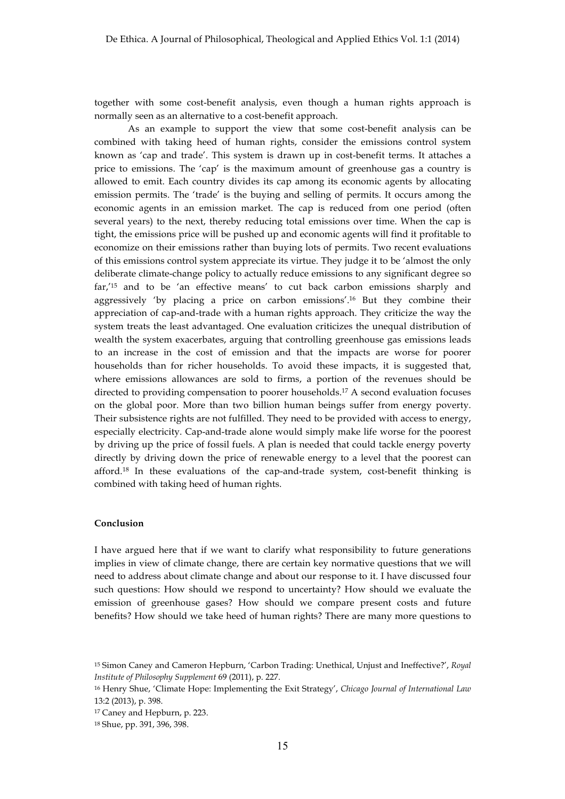together with some cost-benefit analysis, even though a human rights approach is normally seen as an alternative to a cost-benefit approach.

As an example to support the view that some cost-benefit analysis can be combined with taking heed of human rights, consider the emissions control system known as 'cap and trade'. This system is drawn up in cost-benefit terms. It attaches a price to emissions. The 'cap' is the maximum amount of greenhouse gas a country is allowed to emit. Each country divides its cap among its economic agents by allocating emission permits. The 'trade' is the buying and selling of permits. It occurs among the economic agents in an emission market. The cap is reduced from one period (often several years) to the next, thereby reducing total emissions over time. When the cap is tight, the emissions price will be pushed up and economic agents will find it profitable to economize on their emissions rather than buying lots of permits. Two recent evaluations of this emissions control system appreciate its virtue. They judge it to be 'almost the only deliberate climate-change policy to actually reduce emissions to any significant degree so far,'15 and to be 'an effective means' to cut back carbon emissions sharply and aggressively 'by placing a price on carbon emissions'.16 But they combine their appreciation of cap-and-trade with a human rights approach. They criticize the way the system treats the least advantaged. One evaluation criticizes the unequal distribution of wealth the system exacerbates, arguing that controlling greenhouse gas emissions leads to an increase in the cost of emission and that the impacts are worse for poorer households than for richer households. To avoid these impacts, it is suggested that, where emissions allowances are sold to firms, a portion of the revenues should be directed to providing compensation to poorer households.17 A second evaluation focuses on the global poor. More than two billion human beings suffer from energy poverty. Their subsistence rights are not fulfilled. They need to be provided with access to energy, especially electricity. Cap-and-trade alone would simply make life worse for the poorest by driving up the price of fossil fuels. A plan is needed that could tackle energy poverty directly by driving down the price of renewable energy to a level that the poorest can afford.18 In these evaluations of the cap-and-trade system, cost-benefit thinking is combined with taking heed of human rights.

# **Conclusion**

I have argued here that if we want to clarify what responsibility to future generations implies in view of climate change, there are certain key normative questions that we will need to address about climate change and about our response to it. I have discussed four such questions: How should we respond to uncertainty? How should we evaluate the emission of greenhouse gases? How should we compare present costs and future benefits? How should we take heed of human rights? There are many more questions to

<sup>15</sup> Simon Caney and Cameron Hepburn, 'Carbon Trading: Unethical, Unjust and Ineffective?', *Royal Institute of Philosophy Supplement* 69 (2011), p. 227.

<sup>16</sup> Henry Shue, 'Climate Hope: Implementing the Exit Strategy', *Chicago Journal of International Law* 13:2 (2013), p. 398.

<sup>17</sup> Caney and Hepburn, p. 223.

<sup>18</sup> Shue, pp. 391, 396, 398.